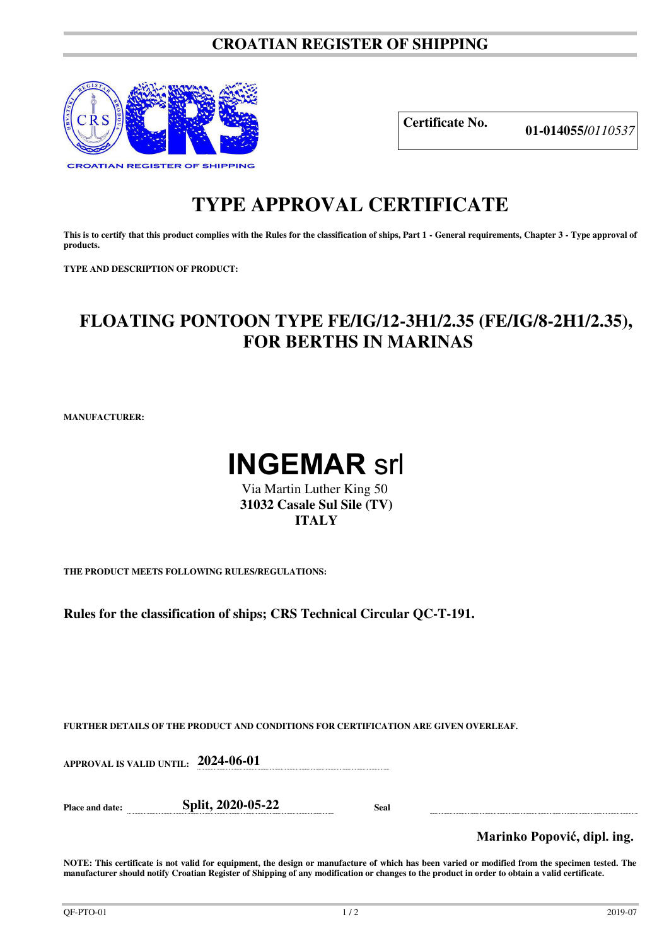## **CROATIAN REGISTER OF SHIPPING**



**Certificate No. 01-014055/***<sup>0110537</sup>*

## **TYPE APPROVAL CERTIFICATE**

This is to certify that this product complies with the Rules for the classification of ships, Part 1 - General requirements, Chapter 3 - Type approval of **products.** 

**TYPE AND DESCRIPTION OF PRODUCT:** 

## **FLOATING PONTOON TYPE FE/IG/12-3H1/2.35 (FE/IG/8-2H1/2.35), FOR BERTHS IN MARINAS**

**MANUFACTURER:**



 Via Martin Luther King 50 **31032 Casale Sul Sile (TV) ITALY**

**THE PRODUCT MEETS FOLLOWING RULES/REGULATIONS:**

**Rules for the classification of ships; CRS Technical Circular QC-T-191.** 

**FURTHER DETAILS OF THE PRODUCT AND CONDITIONS FOR CERTIFICATION ARE GIVEN OVERLEAF.**

**APPROVAL IS VALID UNTIL: 2024-06-01** 

**Place and date: Split, 2020-05-22 Seal** 

**Marinko Popović, dipl. ing.**

**NOTE: This certificate is not valid for equipment, the design or manufacture of which has been varied or modified from the specimen tested. The manufacturer should notify Croatian Register of Shipping of any modification or changes to the product in order to obtain a valid certificate.**